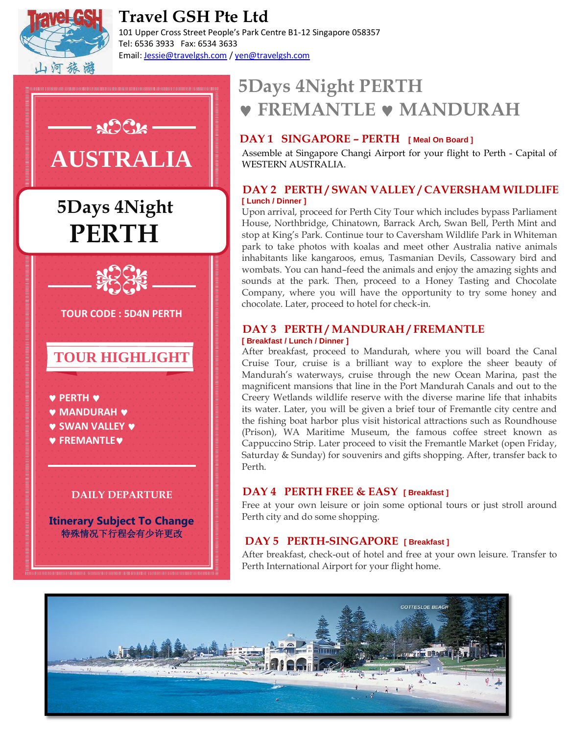

## **Travel GSH Pte Ltd**

101 Upper Cross Street People's Park Centre B1-12 Singapore 058357 Tel: 6536 3933 Fax: 6534 3633 Email: Jessie@travelgsh.com / yen@travelgsh.com

# $AC2$ **AUSTRALIA**  $5$ Days 4Night **PERTH TOUR CODE : 5D4N PERTH TOUR HIGHLIGHT PERTH WANDURAH ¥ V SWAN VALLEY V FREMANTLE DAILY DEPARTURE**

**Itinerary Subject To Change** 特殊情况下行程会有少许更改

## **5Days 4Night PERTH FREMANTLE MANDURAH**

### $\textbf{DAY 1}$  **SINGAPORE - PERTH** [ Meal On Board ]

Assemble at Singapore Changi Airport for your flight to Perth - Capital of WESTERN AUSTRALIA.

#### **DAY 2 PERTH / SWAN VALLEY / CAVERSHAM WILDLIFE [ Lunch / Dinner ]**

Upon arrival, proceed for Perth City Tour which includes bypass Parliament House, Northbridge, Chinatown, Barrack Arch, Swan Bell, Perth Mint and stop at King's Park. Continue tour to Caversham Wildlife Park in Whiteman park to take photos with koalas and meet other Australia native animals inhabitants like kangaroos, emus, Tasmanian Devils, Cassowary bird and wombats. You can hand–feed the animals and enjoy the amazing sights and sounds at the park. Then, proceed to a Honey Tasting and Chocolate Company, where you will have the opportunity to try some honey and chocolate. Later, proceed to hotel for check-in.

#### **DAY 3 PERTH/MANDURAH/FREMANTLE [ Breakfast / Lunch / Dinner ]**

After breakfast, proceed to Mandurah, where you will board the Canal Cruise Tour, cruise is a brilliant way to explore the sheer beauty of Mandurah's waterways, cruise through the new Ocean Marina, past the magnificent mansions that line in the Port Mandurah Canals and out to the Creery Wetlands wildlife reserve with the diverse marine life that inhabits its water. Later, you will be given a brief tour of Fremantle city centre and the fishing boat harbor plus visit historical attractions such as Roundhouse (Prison), WA Maritime Museum, the famous coffee street known as Cappuccino Strip. Later proceed to visit the Fremantle Market (open Friday, Saturday & Sunday) for souvenirs and gifts shopping. After, transfer back to Perth.

### **DAY 4 PERTH FREE & EASY [ Breakfast ]**

Free at your own leisure or join some optional tours or just stroll around Perth city and do some shopping.

### **DAY 5 PERTH-SINGAPORE [ Breakfast ]**

After breakfast, check-out of hotel and free at your own leisure. Transfer to Perth International Airport for your flight home.